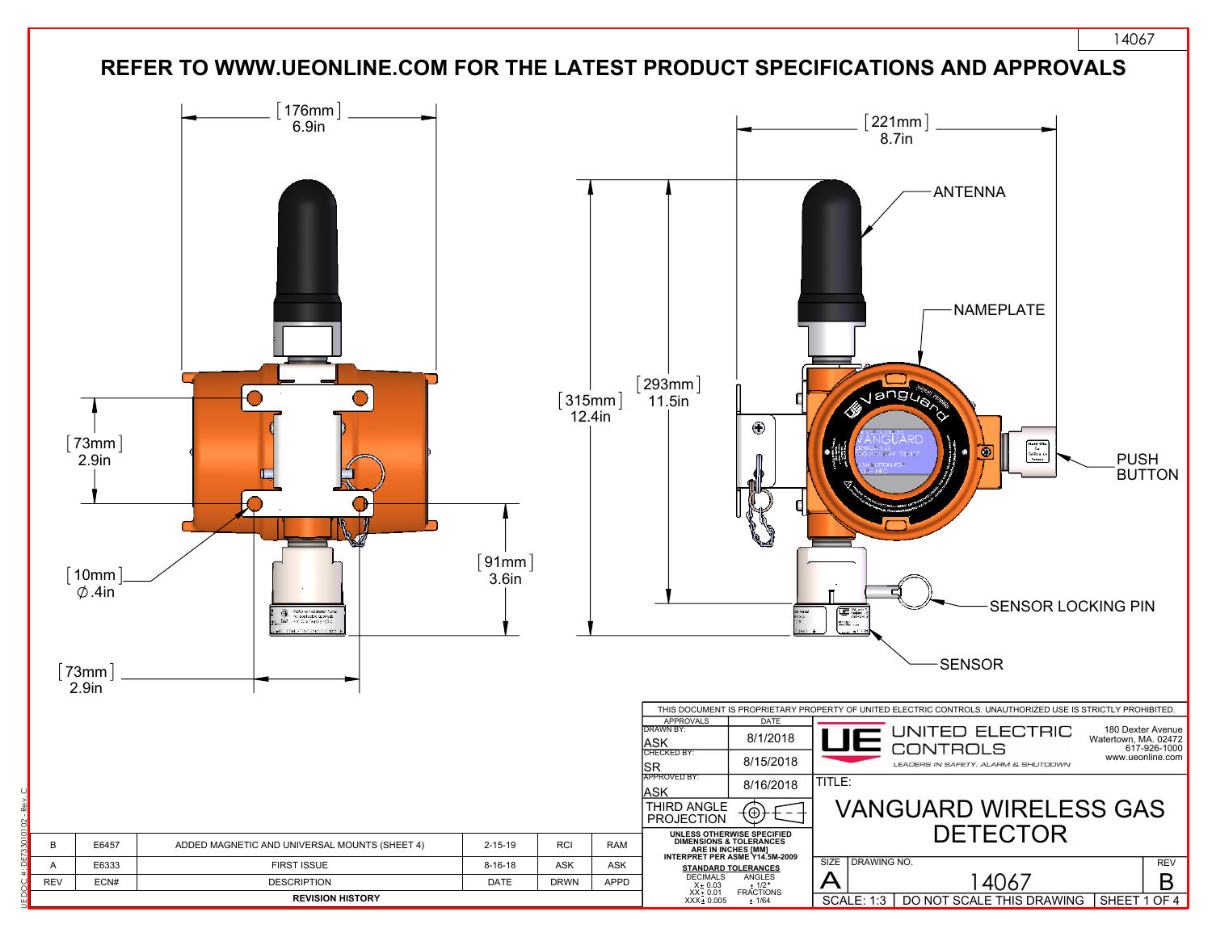

UE DOC #: DE733010102 - Rev. C

14067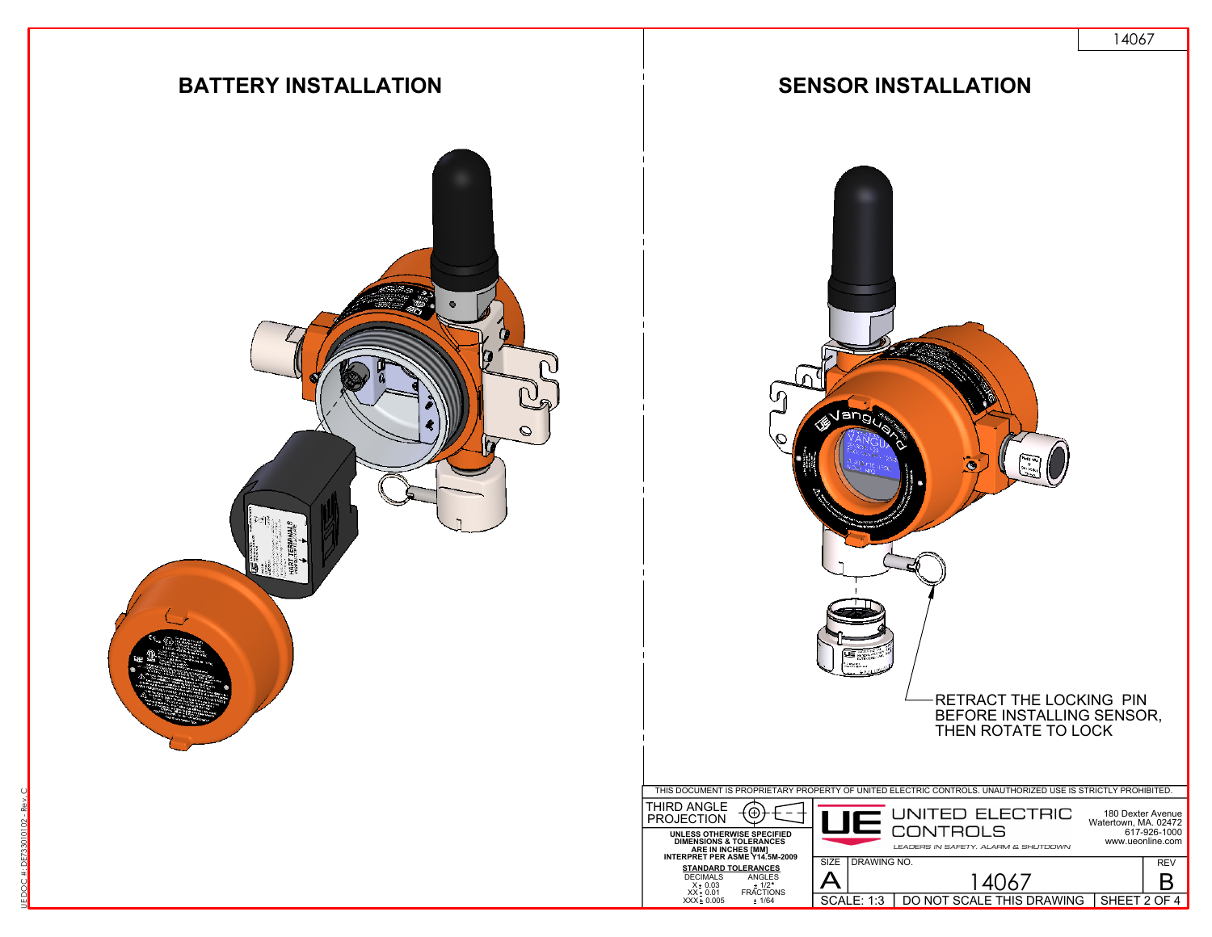

UE DOC #: DE733010102 - Rev. C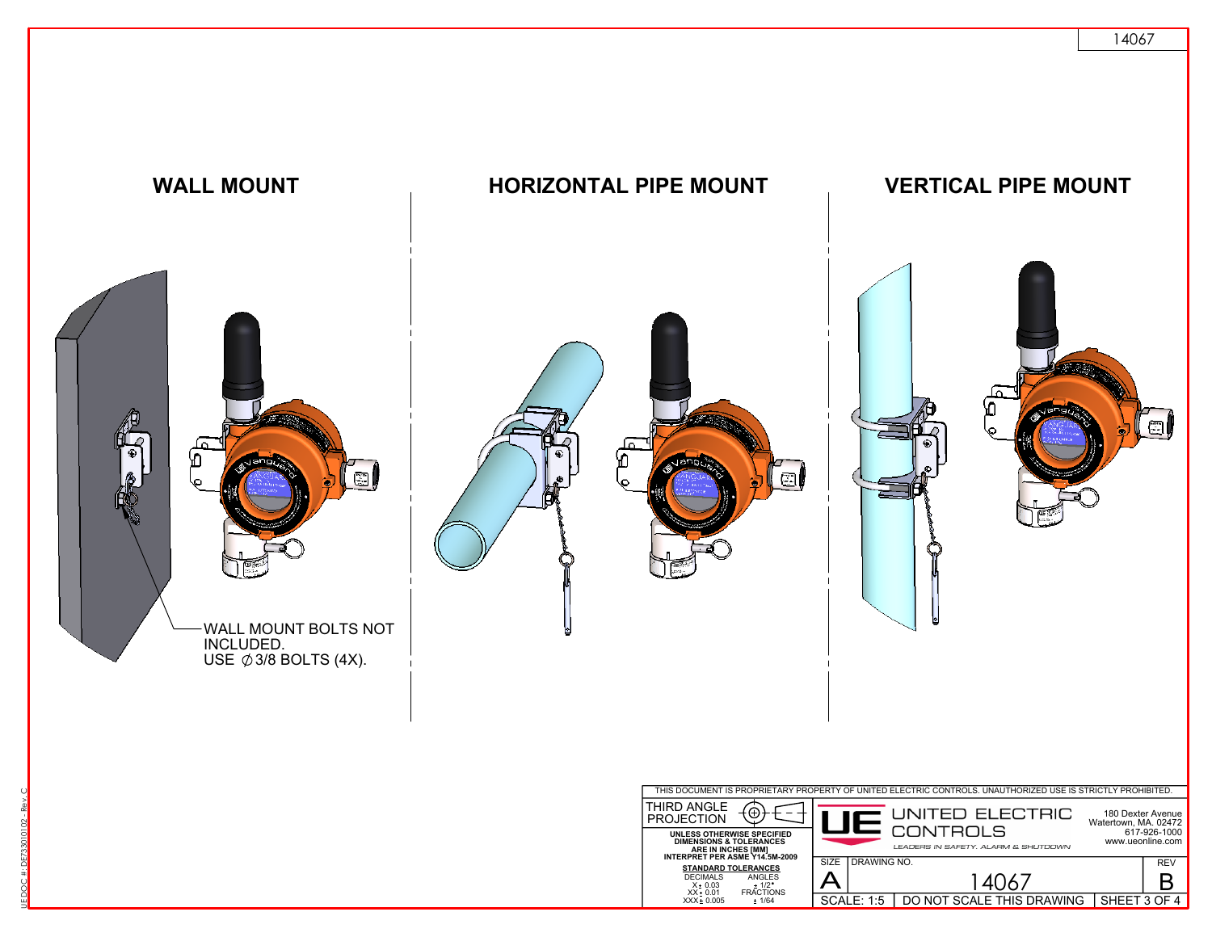